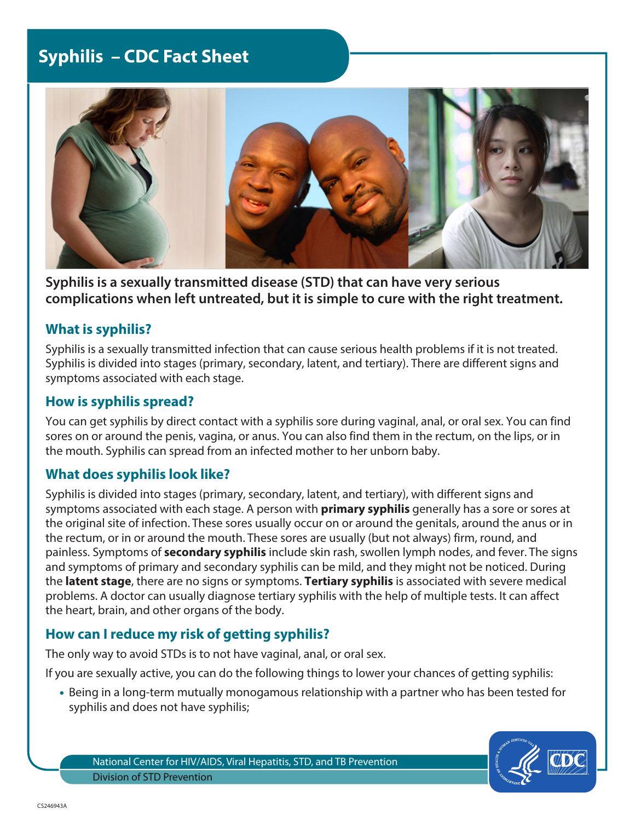# **Syphilis – CDC Fact Sheet**



**Syphilis is a sexually transmitted disease (STD) that can have very serious complications when left untreated, but it is simple to cure with the right treatment.** 

### **What is syphilis?**

Syphilis is a sexually transmitted infection that can cause serious health problems if it is not treated. Syphilis is divided into stages (primary, secondary, latent, and tertiary). There are different signs and symptoms associated with each stage.

#### **How is syphilis spread?**

You can get syphilis by direct contact with a syphilis sore during vaginal, anal, or oral sex. You can find sores on or around the penis, vagina, or anus. You can also find them in the rectum, on the lips, or in the mouth. Syphilis can spread from an infected mother to her unborn baby.

### **What does syphilis look like?**

Syphilis is divided into stages (primary, secondary, latent, and tertiary), with different signs and symptoms associated with each stage. A person with **primary syphilis** generally has a sore or sores at the original site of infection. These sores usually occur on or around the genitals, around the anus or in the rectum, or in or around the mouth. These sores are usually (but not always) firm, round, and painless. Symptoms of **secondary syphilis** include skin rash, swollen lymph nodes, and fever. The signs and symptoms of primary and secondary syphilis can be mild, and they might not be noticed. During the **latent stage**, there are no signs or symptoms. **Tertiary syphilis** is associated with severe medical problems. A doctor can usually diagnose tertiary syphilis with the help of multiple tests. It can affect the heart, brain, and other organs of the body.

### **How can I reduce my risk of getting syphilis?**

The only way to avoid STDs is to not have vaginal, anal, or oral sex.

If you are sexually active, you can do the following things to lower your chances of getting syphilis:

• Being in a long-term mutually monogamous relationship with a partner who has been tested for syphilis and does not have syphilis;



National Center for HIV/AIDS, Viral Hepatitis, STD, and TB Prevention Division of STD Prevention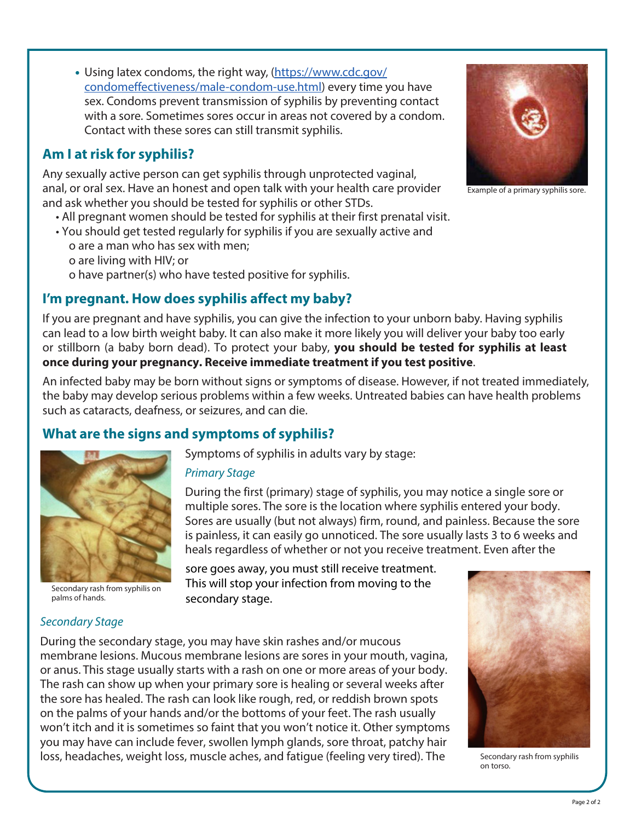• Using latex condoms, the right way, (https://www.cdc.gov/ condomeffectiveness/male-condom-use.html) every time you have sex. Condoms prevent transmission of syphilis by preventing contact with a sore. Sometimes sores occur in areas not covered by a condom. Contact with these sores can still transmit syphilis.

# **Am I at risk for syphilis?**

Any sexually active person can get syphilis through unprotected vaginal, anal, or oral sex. Have an honest and open talk with your health care provider and ask whether you should be tested for syphilis or other STDs.

- All pregnant women should be tested for syphilis at their first prenatal visit.
- You should get tested regularly for syphilis if you are sexually active and
	- o are a man who has sex with men;
	- o are living with HIV; or
	- o have partner(s) who have tested positive for syphilis.

# **I'm pregnant. How does syphilis affect my baby?**

If you are pregnant and have syphilis, you can give the infection to your unborn baby. Having syphilis can lead to a low birth weight baby. It can also make it more likely you will deliver your baby too early or stillborn (a baby born dead). To protect your baby, **you should be tested for syphilis at least once during your pregnancy. Receive immediate treatment if you test positive**.

An infected baby may be born without signs or symptoms of disease. However, if not treated immediately, the baby may develop serious problems within a few weeks. Untreated babies can have health problems such as cataracts, deafness, or seizures, and can die.

# **What are the signs and symptoms of syphilis?**



Secondary rash from syphilis on palms of hands.

# *Secondary Stage*

Symptoms of syphilis in adults vary by stage: *Primary Stage* 

During the first (primary) stage of syphilis, you may notice a single sore or multiple sores. The sore is the location where syphilis entered your body. Sores are usually (but not always) firm, round, and painless. Because the sore is painless, it can easily go unnoticed. The sore usually lasts 3 to 6 weeks and heals regardless of whether or not you receive treatment. Even after the

sore goes away, you must still receive treatment. This will stop your infection from moving to the secondary stage.

During the secondary stage, you may have skin rashes and/or mucous membrane lesions. Mucous membrane lesions are sores in your mouth, vagina, or anus. This stage usually starts with a rash on one or more areas of your body. The rash can show up when your primary sore is healing or several weeks after the sore has healed. The rash can look like rough, red, or reddish brown spots on the palms of your hands and/or the bottoms of your feet. The rash usually won't itch and it is sometimes so faint that you won't notice it. Other symptoms you may have can include fever, swollen lymph glands, sore throat, patchy hair loss, headaches, weight loss, muscle aches, and fatigue (feeling very tired). The



Secondary rash from syphilis on torso.



Example of a primary syphilis sore.